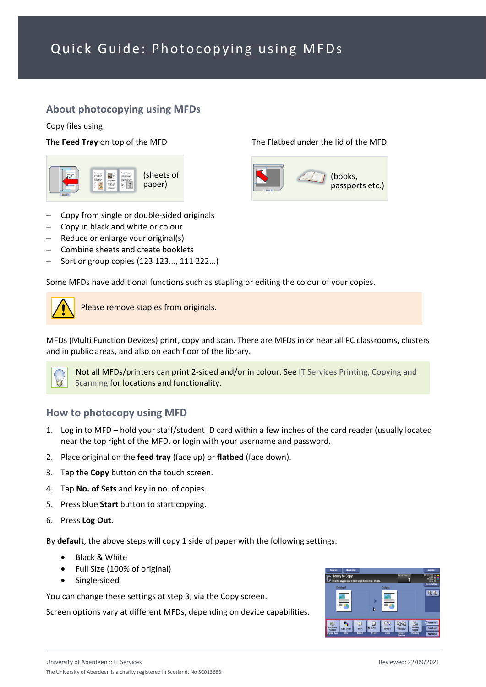# Quick Guide: Photocopying using MFDs

### **About photocopying using MFDs**

Copy files using:

### The **Feed Tray** on top of the MFD The Flatbed under the lid of the MFD



- − Copy from single or double-sided originals
- − Copy in black and white or colour
- − Reduce or enlarge your original(s)
- − Combine sheets and create booklets
- − Sort or group copies (123 123..., 111 222...)

Some MFDs have additional functions such as stapling or editing the colour of your copies.



Please remove staples from originals.

MFDs (Multi Function Devices) print, copy and scan. There are MFDs in or near all PC classrooms, clusters and in public areas, and also on each floor of the library.



Not all MFDs/printers can print 2-sided and/or in colour. See [IT Services Printing, Copying and](https://www.abdn.ac.uk/it/student/print/index.php#panel1227)  [Scanning](https://www.abdn.ac.uk/it/student/print/index.php#panel1227) for locations and functionality.

### **How to photocopy using MFD**

- 1. Log in to MFD hold your staff/student ID card within a few inches of the card reader (usually located near the top right of the MFD, or login with your username and password.
- 2. Place original on the **feed tray** (face up) or **flatbed** (face down).
- 3. Tap the **Copy** button on the touch screen.
- 4. Tap **No. of Sets** and key in no. of copies.
- 5. Press blue **Start** button to start copying.
- 6. Press **Log Out**.

By **default**, the above steps will copy 1 side of paper with the following settings:

- Black & White
- Full Size (100% of original)
- Single-sided

You can change these settings at step 3, via the Copy screen.

Screen options vary at different MFDs, depending on device capabilities.



(books, passports etc.)